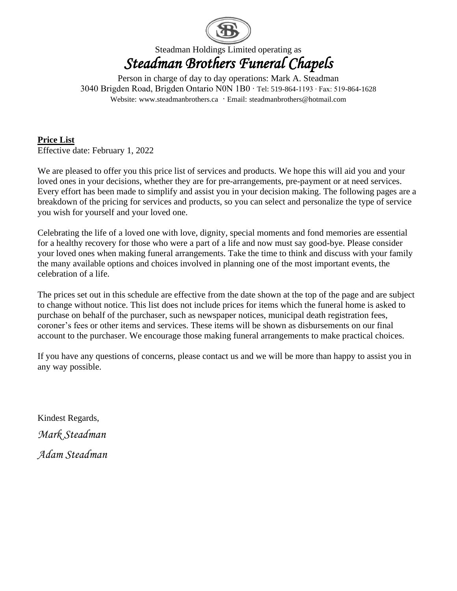

Steadman Holdings Limited operating as *Steadman Brothers Funeral Chapels* 

Person in charge of day to day operations: Mark A. Steadman 3040 Brigden Road, Brigden Ontario N0N 1B0 ∙ Tel: 519-864-1193 ∙ Fax: 519-864-1628 Website: [www.steadmanbrothers.ca](http://www.steadmanbrothers.ca/) ∙ Email: [steadmanbrothers@hotmail.com](mailto:steadmanbrothers@hotmail.com)

**Price List**  Effective date: February 1, 2022

We are pleased to offer you this price list of services and products. We hope this will aid you and your loved ones in your decisions, whether they are for pre-arrangements, pre-payment or at need services. Every effort has been made to simplify and assist you in your decision making. The following pages are a breakdown of the pricing for services and products, so you can select and personalize the type of service you wish for yourself and your loved one.

Celebrating the life of a loved one with love, dignity, special moments and fond memories are essential for a healthy recovery for those who were a part of a life and now must say good-bye. Please consider your loved ones when making funeral arrangements. Take the time to think and discuss with your family the many available options and choices involved in planning one of the most important events, the celebration of a life.

The prices set out in this schedule are effective from the date shown at the top of the page and are subject to change without notice. This list does not include prices for items which the funeral home is asked to purchase on behalf of the purchaser, such as newspaper notices, municipal death registration fees, coroner's fees or other items and services. These items will be shown as disbursements on our final account to the purchaser. We encourage those making funeral arrangements to make practical choices.

If you have any questions of concerns, please contact us and we will be more than happy to assist you in any way possible.

Kindest Regards,

*Mark Steadman*

*Adam Steadman*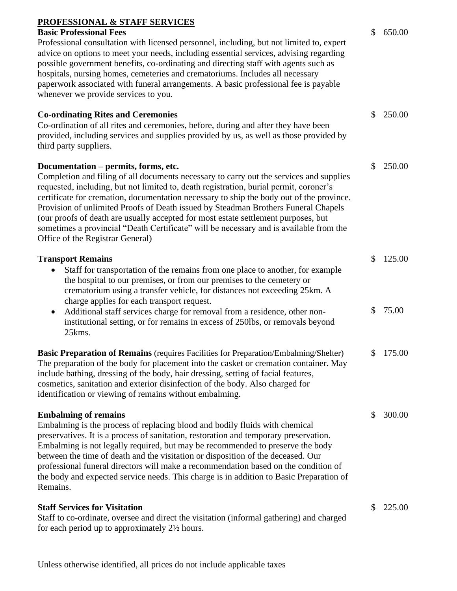| <b>PROFESSIONAL &amp; STAFF SERVICES</b> |  |
|------------------------------------------|--|
|                                          |  |

#### **Basic Professional Fees**

Professional consultation with licensed personnel, including, but not limited to, expert advice on options to meet your needs, including essential services, advising regarding possible government benefits, co-ordinating and directing staff with agents such as hospitals, nursing homes, cemeteries and crematoriums. Includes all necessary paperwork associated with funeral arrangements. A basic professional fee is payable whenever we provide services to you.

### **Co-ordinating Rites and Ceremonies** Co-ordination of all rites and ceremonies, before, during and after they have been provided, including services and supplies provided by us, as well as those provided by third party suppliers. \$ 250.00 **Documentation – permits, forms, etc.** Completion and filing of all documents necessary to carry out the services and supplies requested, including, but not limited to, death registration, burial permit, coroner's certificate for cremation, documentation necessary to ship the body out of the province. Provision of unlimited Proofs of Death issued by Steadman Brothers Funeral Chapels (our proofs of death are usually accepted for most estate settlement purposes, but sometimes a provincial "Death Certificate" will be necessary and is available from the Office of the Registrar General) \$ 250.00 **Transport Remains** • Staff for transportation of the remains from one place to another, for example the hospital to our premises, or from our premises to the cemetery or crematorium using a transfer vehicle, for distances not exceeding 25km. A \$ 125.00

charge applies for each transport request. • Additional staff services charge for removal from a residence, other noninstitutional setting, or for remains in excess of 250lbs, or removals beyond 25kms. \$ 75.00

**Basic Preparation of Remains** (requires Facilities for Preparation/Embalming/Shelter) The preparation of the body for placement into the casket or cremation container. May include bathing, dressing of the body, hair dressing, setting of facial features, cosmetics, sanitation and exterior disinfection of the body. Also charged for identification or viewing of remains without embalming. \$ 175.00

#### **Embalming of remains**

Embalming is the process of replacing blood and bodily fluids with chemical preservatives. It is a process of sanitation, restoration and temporary preservation. Embalming is not legally required, but may be recommended to preserve the body between the time of death and the visitation or disposition of the deceased. Our professional funeral directors will make a recommendation based on the condition of the body and expected service needs. This charge is in addition to Basic Preparation of Remains.

### **Staff Services for Visitation**

Staff to co-ordinate, oversee and direct the visitation (informal gathering) and charged for each period up to approximately 2½ hours.

\$ 225.00

\$ 300.00

\$ 650.00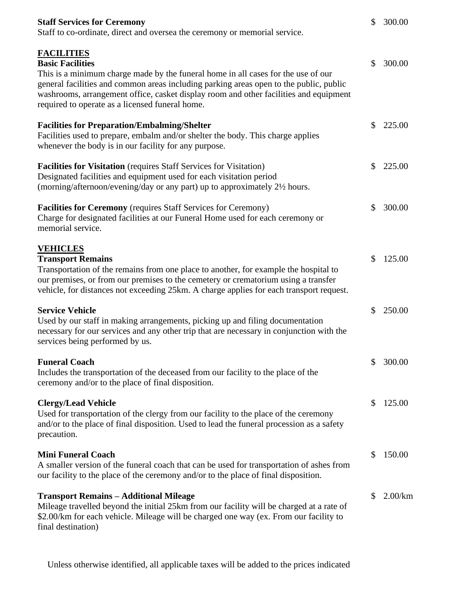| <b>Staff Services for Ceremony</b><br>Staff to co-ordinate, direct and oversea the ceremony or memorial service.                                                                                                                                                                                                                                                        | $\mathbb{S}$ | 300.00     |
|-------------------------------------------------------------------------------------------------------------------------------------------------------------------------------------------------------------------------------------------------------------------------------------------------------------------------------------------------------------------------|--------------|------------|
| <b>FACILITIES</b><br><b>Basic Facilities</b><br>This is a minimum charge made by the funeral home in all cases for the use of our<br>general facilities and common areas including parking areas open to the public, public<br>washrooms, arrangement office, casket display room and other facilities and equipment<br>required to operate as a licensed funeral home. | \$           | 300.00     |
| <b>Facilities for Preparation/Embalming/Shelter</b><br>Facilities used to prepare, embalm and/or shelter the body. This charge applies<br>whenever the body is in our facility for any purpose.                                                                                                                                                                         | S.           | 225.00     |
| <b>Facilities for Visitation</b> (requires Staff Services for Visitation)<br>Designated facilities and equipment used for each visitation period<br>(morning/afternoon/evening/day or any part) up to approximately 2½ hours.                                                                                                                                           | \$           | 225.00     |
| <b>Facilities for Ceremony</b> (requires Staff Services for Ceremony)<br>Charge for designated facilities at our Funeral Home used for each ceremony or<br>memorial service.                                                                                                                                                                                            | \$           | 300.00     |
| <b>VEHICLES</b><br><b>Transport Remains</b><br>Transportation of the remains from one place to another, for example the hospital to<br>our premises, or from our premises to the cemetery or crematorium using a transfer<br>vehicle, for distances not exceeding 25km. A charge applies for each transport request.                                                    | \$           | 125.00     |
| <b>Service Vehicle</b><br>Used by our staff in making arrangements, picking up and filing documentation<br>necessary for our services and any other trip that are necessary in conjunction with the<br>services being performed by us.                                                                                                                                  | \$           | 250.00     |
| <b>Funeral Coach</b><br>Includes the transportation of the deceased from our facility to the place of the<br>ceremony and/or to the place of final disposition.                                                                                                                                                                                                         | \$           | 300.00     |
| <b>Clergy/Lead Vehicle</b><br>Used for transportation of the clergy from our facility to the place of the ceremony<br>and/or to the place of final disposition. Used to lead the funeral procession as a safety<br>precaution.                                                                                                                                          | \$           | 125.00     |
| <b>Mini Funeral Coach</b><br>A smaller version of the funeral coach that can be used for transportation of ashes from<br>our facility to the place of the ceremony and/or to the place of final disposition.                                                                                                                                                            | \$           | 150.00     |
| <b>Transport Remains - Additional Mileage</b><br>Mileage travelled beyond the initial 25km from our facility will be charged at a rate of<br>\$2.00/km for each vehicle. Mileage will be charged one way (ex. From our facility to<br>final destination)                                                                                                                | \$           | $2.00$ /km |

Unless otherwise identified, all applicable taxes will be added to the prices indicated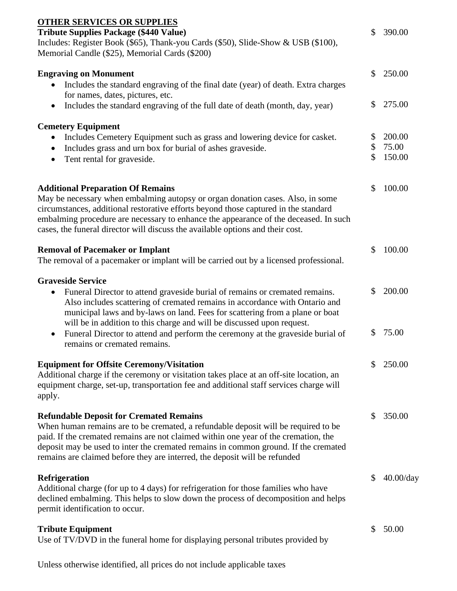| <b>OTHER SERVICES OR SUPPLIES</b>                                                                                                                                                                                                                                                                                                                                                                |          |                 |
|--------------------------------------------------------------------------------------------------------------------------------------------------------------------------------------------------------------------------------------------------------------------------------------------------------------------------------------------------------------------------------------------------|----------|-----------------|
| <b>Tribute Supplies Package (\$440 Value)</b><br>Includes: Register Book (\$65), Thank-you Cards (\$50), Slide-Show & USB (\$100),<br>Memorial Candle (\$25), Memorial Cards (\$200)                                                                                                                                                                                                             | \$       | 390.00          |
| <b>Engraving on Monument</b><br>Includes the standard engraving of the final date (year) of death. Extra charges<br>for names, dates, pictures, etc.                                                                                                                                                                                                                                             | \$       | 250.00          |
| Includes the standard engraving of the full date of death (month, day, year)<br>$\bullet$                                                                                                                                                                                                                                                                                                        | \$       | 275.00          |
| <b>Cemetery Equipment</b>                                                                                                                                                                                                                                                                                                                                                                        |          |                 |
| Includes Cemetery Equipment such as grass and lowering device for casket.                                                                                                                                                                                                                                                                                                                        | \$<br>\$ | 200.00<br>75.00 |
| Includes grass and urn box for burial of ashes graveside.<br>Tent rental for graveside.                                                                                                                                                                                                                                                                                                          | \$       | 150.00          |
| <b>Additional Preparation Of Remains</b><br>May be necessary when embalming autopsy or organ donation cases. Also, in some<br>circumstances, additional restorative efforts beyond those captured in the standard<br>embalming procedure are necessary to enhance the appearance of the deceased. In such<br>cases, the funeral director will discuss the available options and their cost.      | \$       | 100.00          |
| <b>Removal of Pacemaker or Implant</b><br>The removal of a pacemaker or implant will be carried out by a licensed professional.                                                                                                                                                                                                                                                                  | \$       | 100.00          |
| <b>Graveside Service</b><br>Funeral Director to attend graveside burial of remains or cremated remains.<br>$\bullet$<br>Also includes scattering of cremated remains in accordance with Ontario and<br>municipal laws and by-laws on land. Fees for scattering from a plane or boat                                                                                                              | \$       | 200.00          |
| will be in addition to this charge and will be discussed upon request.<br>Funeral Director to attend and perform the ceremony at the graveside burial of<br>$\bullet$<br>remains or cremated remains.                                                                                                                                                                                            | \$       | 75.00           |
| <b>Equipment for Offsite Ceremony/Visitation</b><br>Additional charge if the ceremony or visitation takes place at an off-site location, an<br>equipment charge, set-up, transportation fee and additional staff services charge will<br>apply.                                                                                                                                                  | S        | 250.00          |
| <b>Refundable Deposit for Cremated Remains</b><br>When human remains are to be cremated, a refundable deposit will be required to be<br>paid. If the cremated remains are not claimed within one year of the cremation, the<br>deposit may be used to inter the cremated remains in common ground. If the cremated<br>remains are claimed before they are interred, the deposit will be refunded | S        | 350.00          |
| <b>Refrigeration</b><br>Additional charge (for up to 4 days) for refrigeration for those families who have<br>declined embalming. This helps to slow down the process of decomposition and helps<br>permit identification to occur.                                                                                                                                                              | \$       | $40.00$ /day    |
| <b>Tribute Equipment</b><br>Use of TV/DVD in the funeral home for displaying personal tributes provided by                                                                                                                                                                                                                                                                                       | \$       | 50.00           |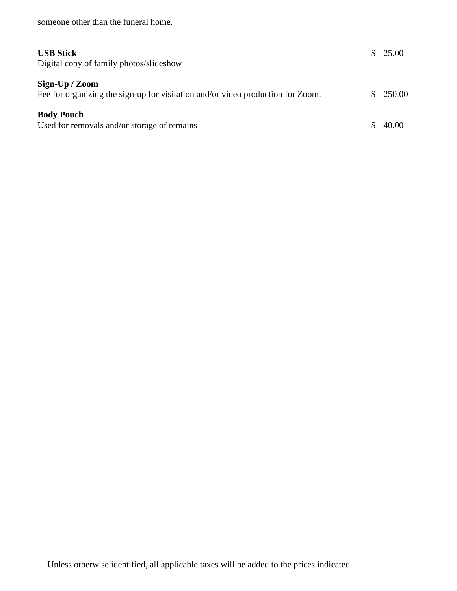someone other than the funeral home.

Digital copy of family photos/slideshow

## **Sign-Up / Zoom**

| Fee for organizing the sign-up for visitation and/or video production for Zoom. |  | \$250.00 |
|---------------------------------------------------------------------------------|--|----------|
| <b>Body Pouch</b>                                                               |  |          |

\$ 25.00

| Used for removals and/or storage of remains |  | \$40.00 |
|---------------------------------------------|--|---------|
|---------------------------------------------|--|---------|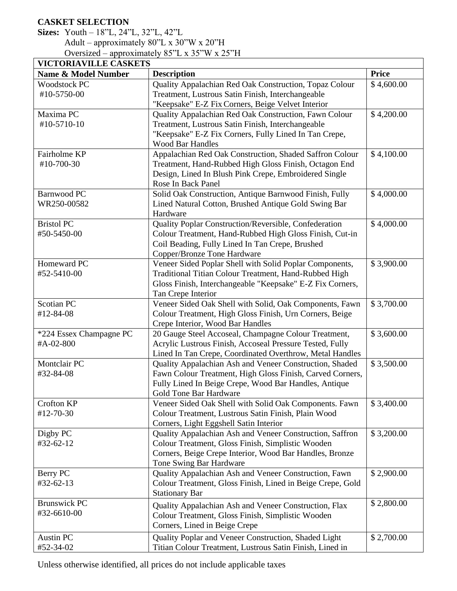# **CASKET SELECTION**

## **Sizes:** Youth – 18"L, 24"L, 32"L, 42"L Adult – approximately 80"L x 30"W x 20"H Oversized – approximately 85"L x 35"W x 25"H

| <b>VICTORIAVILLE CASKETS</b> |                                                            |              |  |
|------------------------------|------------------------------------------------------------|--------------|--|
| Name & Model Number          | <b>Description</b>                                         | <b>Price</b> |  |
| <b>Woodstock PC</b>          | Quality Appalachian Red Oak Construction, Topaz Colour     | \$4,600.00   |  |
| #10-5750-00                  | Treatment, Lustrous Satin Finish, Interchangeable          |              |  |
|                              | "Keepsake" E-Z Fix Corners, Beige Velvet Interior          |              |  |
| Maxima PC                    | Quality Appalachian Red Oak Construction, Fawn Colour      | \$4,200.00   |  |
| #10-5710-10                  | Treatment, Lustrous Satin Finish, Interchangeable          |              |  |
|                              | "Keepsake" E-Z Fix Corners, Fully Lined In Tan Crepe,      |              |  |
|                              | <b>Wood Bar Handles</b>                                    |              |  |
| Fairholme KP                 | Appalachian Red Oak Construction, Shaded Saffron Colour    | \$4,100.00   |  |
| #10-700-30                   | Treatment, Hand-Rubbed High Gloss Finish, Octagon End      |              |  |
|                              | Design, Lined In Blush Pink Crepe, Embroidered Single      |              |  |
|                              | Rose In Back Panel                                         |              |  |
| <b>Barnwood PC</b>           | Solid Oak Construction, Antique Barnwood Finish, Fully     | \$4,000.00   |  |
| WR250-00582                  | Lined Natural Cotton, Brushed Antique Gold Swing Bar       |              |  |
|                              | Hardware                                                   |              |  |
| <b>Bristol PC</b>            | Quality Poplar Construction/Reversible, Confederation      | \$4,000.00   |  |
| #50-5450-00                  | Colour Treatment, Hand-Rubbed High Gloss Finish, Cut-in    |              |  |
|                              | Coil Beading, Fully Lined In Tan Crepe, Brushed            |              |  |
|                              | Copper/Bronze Tone Hardware                                |              |  |
| Homeward PC                  | Veneer Sided Poplar Shell with Solid Poplar Components,    | \$3,900.00   |  |
| #52-5410-00                  | Traditional Titian Colour Treatment, Hand-Rubbed High      |              |  |
|                              | Gloss Finish, Interchangeable "Keepsake" E-Z Fix Corners,  |              |  |
|                              | Tan Crepe Interior                                         |              |  |
| <b>Scotian PC</b>            | Veneer Sided Oak Shell with Solid, Oak Components, Fawn    | \$3,700.00   |  |
| #12-84-08                    | Colour Treatment, High Gloss Finish, Urn Corners, Beige    |              |  |
|                              | Crepe Interior, Wood Bar Handles                           |              |  |
| *224 Essex Champagne PC      | 20 Gauge Steel Accoseal, Champagne Colour Treatment,       | \$3,600.00   |  |
| #A-02-800                    | Acrylic Lustrous Finish, Accoseal Pressure Tested, Fully   |              |  |
|                              | Lined In Tan Crepe, Coordinated Overthrow, Metal Handles   |              |  |
| Montclair PC                 | Quality Appalachian Ash and Veneer Construction, Shaded    | \$3,500.00   |  |
| #32-84-08                    | Fawn Colour Treatment, High Gloss Finish, Carved Corners,  |              |  |
|                              | Fully Lined In Beige Crepe, Wood Bar Handles, Antique      |              |  |
|                              | Gold Tone Bar Hardware                                     |              |  |
| Crofton KP                   | Veneer Sided Oak Shell with Solid Oak Components. Fawn     | \$3,400.00   |  |
| #12-70-30                    | Colour Treatment, Lustrous Satin Finish, Plain Wood        |              |  |
|                              | Corners, Light Eggshell Satin Interior                     |              |  |
| Digby PC                     | Quality Appalachian Ash and Veneer Construction, Saffron   | \$3,200.00   |  |
| #32-62-12                    | Colour Treatment, Gloss Finish, Simplistic Wooden          |              |  |
|                              | Corners, Beige Crepe Interior, Wood Bar Handles, Bronze    |              |  |
|                              | Tone Swing Bar Hardware                                    |              |  |
| Berry PC                     | Quality Appalachian Ash and Veneer Construction, Fawn      | \$2,900.00   |  |
| #32-62-13                    | Colour Treatment, Gloss Finish, Lined in Beige Crepe, Gold |              |  |
|                              | <b>Stationary Bar</b>                                      |              |  |
| <b>Brunswick PC</b>          | Quality Appalachian Ash and Veneer Construction, Flax      | \$2,800.00   |  |
| #32-6610-00                  | Colour Treatment, Gloss Finish, Simplistic Wooden          |              |  |
|                              | Corners, Lined in Beige Crepe                              |              |  |
| <b>Austin PC</b>             | Quality Poplar and Veneer Construction, Shaded Light       | \$2,700.00   |  |
| #52-34-02                    | Titian Colour Treatment, Lustrous Satin Finish, Lined in   |              |  |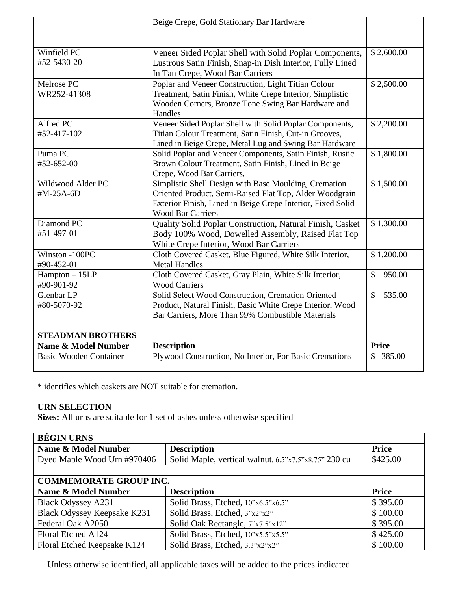| Beige Crepe, Gold Stationary Bar Hardware |                                                             |              |
|-------------------------------------------|-------------------------------------------------------------|--------------|
|                                           |                                                             |              |
|                                           |                                                             |              |
| Winfield PC                               | Veneer Sided Poplar Shell with Solid Poplar Components,     | \$2,600.00   |
| #52-5430-20                               | Lustrous Satin Finish, Snap-in Dish Interior, Fully Lined   |              |
|                                           | In Tan Crepe, Wood Bar Carriers                             |              |
| Melrose PC                                | Poplar and Veneer Construction, Light Titian Colour         | \$2,500.00   |
| WR252-41308                               | Treatment, Satin Finish, White Crepe Interior, Simplistic   |              |
|                                           | Wooden Corners, Bronze Tone Swing Bar Hardware and          |              |
|                                           | Handles                                                     |              |
| Alfred PC                                 | Veneer Sided Poplar Shell with Solid Poplar Components,     | \$2,200.00   |
| #52-417-102                               | Titian Colour Treatment, Satin Finish, Cut-in Grooves,      |              |
|                                           | Lined in Beige Crepe, Metal Lug and Swing Bar Hardware      |              |
| Puma <sub>PC</sub>                        | Solid Poplar and Veneer Components, Satin Finish, Rustic    | \$1,800.00   |
| #52-652-00                                | Brown Colour Treatment, Satin Finish, Lined in Beige        |              |
|                                           | Crepe, Wood Bar Carriers,                                   |              |
| Wildwood Alder PC                         | Simplistic Shell Design with Base Moulding, Cremation       | \$1,500.00   |
| #M-25A-6D                                 | Oriented Product, Semi-Raised Flat Top, Alder Woodgrain     |              |
|                                           | Exterior Finish, Lined in Beige Crepe Interior, Fixed Solid |              |
|                                           | <b>Wood Bar Carriers</b>                                    |              |
| Diamond PC                                | Quality Solid Poplar Construction, Natural Finish, Casket   | \$1,300.00   |
| #51-497-01                                | Body 100% Wood, Dowelled Assembly, Raised Flat Top          |              |
|                                           | White Crepe Interior, Wood Bar Carriers                     |              |
| Winston -100PC                            | Cloth Covered Casket, Blue Figured, White Silk Interior,    | \$1,200.00   |
| #90-452-01                                | <b>Metal Handles</b>                                        |              |
| $Hampton - 15LP$                          | Cloth Covered Casket, Gray Plain, White Silk Interior,      | \$<br>950.00 |
| #90-901-92                                | <b>Wood Carriers</b>                                        |              |
| Glenbar LP                                | Solid Select Wood Construction, Cremation Oriented          | \$<br>535.00 |
| #80-5070-92                               | Product, Natural Finish, Basic White Crepe Interior, Wood   |              |
|                                           | Bar Carriers, More Than 99% Combustible Materials           |              |
|                                           |                                                             |              |
| <b>STEADMAN BROTHERS</b>                  |                                                             |              |
| <b>Name &amp; Model Number</b>            | <b>Description</b>                                          | <b>Price</b> |
| <b>Basic Wooden Container</b>             | Plywood Construction, No Interior, For Basic Cremations     | \$<br>385.00 |
|                                           |                                                             |              |

\* identifies which caskets are NOT suitable for cremation.

## **URN SELECTION**

**Sizes:** All urns are suitable for 1 set of ashes unless otherwise specified

| <b>BÉGIN URNS</b>             |                                                      |              |
|-------------------------------|------------------------------------------------------|--------------|
| Name & Model Number           | <b>Description</b>                                   | <b>Price</b> |
| Dyed Maple Wood Urn #970406   | Solid Maple, vertical walnut, 6.5"x7.5"x8.75" 230 cu | \$425.00     |
|                               |                                                      |              |
| <b>COMMEMORATE GROUP INC.</b> |                                                      |              |
| Name & Model Number           | <b>Description</b>                                   | <b>Price</b> |
| <b>Black Odyssey A231</b>     | Solid Brass, Etched, 10"x6.5"x6.5"                   | \$395.00     |
| Black Odyssey Keepsake K231   | Solid Brass, Etched, 3"x2"x2"                        | \$100.00     |
| Federal Oak A2050             | Solid Oak Rectangle, 7"x7.5"x12"                     | \$395.00     |
| Floral Etched A124            | Solid Brass, Etched, 10"x5.5"x5.5"                   | \$425.00     |
| Floral Etched Keepsake K124   | Solid Brass, Etched, 3.3"x2"x2"                      | \$100.00     |

Unless otherwise identified, all applicable taxes will be added to the prices indicated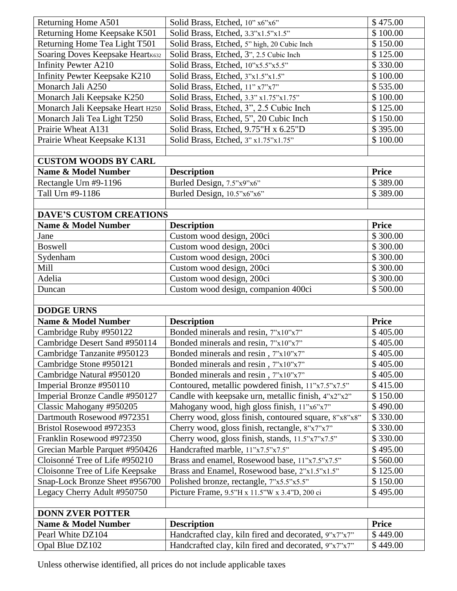|                                      | Solid Brass, Etched, 10" x6"x6"                                                                              | \$475.00             |
|--------------------------------------|--------------------------------------------------------------------------------------------------------------|----------------------|
| Returning Home Keepsake K501         | Solid Brass, Etched, 3.3"x1.5"x1.5"                                                                          | \$100.00             |
| Returning Home Tea Light T501        | Solid Brass, Etched, 5" high, 20 Cubic Inch                                                                  | \$150.00             |
| Soaring Doves Keepsake Heartk632     | Solid Brass, Etched, 3", 2.5 Cubic Inch                                                                      | \$125.00             |
| <b>Infinity Pewter A210</b>          | Solid Brass, Etched, 10"x5.5"x5.5"                                                                           | \$330.00             |
| <b>Infinity Pewter Keepsake K210</b> | Solid Brass, Etched, 3"x1.5"x1.5"                                                                            | \$100.00             |
| Monarch Jali A250                    | Solid Brass, Etched, 11" x7"x7"                                                                              | \$535.00             |
| Monarch Jali Keepsake K250           | Solid Brass, Etched, 3.3" x1.75"x1.75"                                                                       | \$100.00             |
| Monarch Jali Keepsake Heart H250     | Solid Brass, Etched, 3", 2.5 Cubic Inch                                                                      | \$125.00             |
| Monarch Jali Tea Light T250          | Solid Brass, Etched, 5", 20 Cubic Inch                                                                       | \$150.00             |
| Prairie Wheat A131                   | Solid Brass, Etched, 9.75"H x 6.25"D                                                                         | \$395.00             |
| Prairie Wheat Keepsake K131          | Solid Brass, Etched, 3" x1.75"x1.75"                                                                         | \$100.00             |
|                                      |                                                                                                              |                      |
| <b>CUSTOM WOODS BY CARL</b>          |                                                                                                              |                      |
| <b>Name &amp; Model Number</b>       | <b>Description</b>                                                                                           | <b>Price</b>         |
| Rectangle Urn #9-1196                | Burled Design, 7.5"x9"x6"                                                                                    | \$389.00             |
| Tall Urn #9-1186                     | Burled Design, 10.5"x6"x6"                                                                                   | \$389.00             |
|                                      |                                                                                                              |                      |
| <b>DAVE'S CUSTOM CREATIONS</b>       |                                                                                                              |                      |
| <b>Name &amp; Model Number</b>       | <b>Description</b>                                                                                           | <b>Price</b>         |
| Jane                                 | Custom wood design, 200ci                                                                                    | \$300.00             |
| <b>Boswell</b>                       | Custom wood design, 200ci                                                                                    | \$300.00             |
| Sydenham                             | Custom wood design, 200ci                                                                                    | \$300.00             |
| Mill                                 | Custom wood design, 200ci                                                                                    | \$300.00             |
| Adelia                               | Custom wood design, 200ci                                                                                    | \$300.00             |
| Duncan                               | Custom wood design, companion 400ci                                                                          | \$500.00             |
|                                      |                                                                                                              |                      |
|                                      |                                                                                                              |                      |
|                                      |                                                                                                              |                      |
| <b>DODGE URNS</b>                    |                                                                                                              |                      |
| <b>Name &amp; Model Number</b>       | <b>Description</b>                                                                                           | <b>Price</b>         |
| Cambridge Ruby #950122               | Bonded minerals and resin, 7"x10"x7"                                                                         | \$405.00             |
| Cambridge Desert Sand #950114        | Bonded minerals and resin, 7"x10"x7"                                                                         | \$405.00             |
| Cambridge Tanzanite #950123          | Bonded minerals and resin, 7"x10"x7"                                                                         | \$405.00             |
| Cambridge Stone #950121              | Bonded minerals and resin, 7"x10"x7"                                                                         | \$405.00             |
| Cambridge Natural #950120            | Bonded minerals and resin, 7"x10"x7"                                                                         | \$405.00             |
| Imperial Bronze #950110              | Contoured, metallic powdered finish, 11"x7.5"x7.5"                                                           | \$415.00             |
| Imperial Bronze Candle #950127       | Candle with keepsake urn, metallic finish, 4"x2"x2"                                                          | \$150.00             |
| Classic Mahogany #950205             | Mahogany wood, high gloss finish, 11"x6"x7"                                                                  | \$490.00             |
| Dartmouth Rosewood #972351           | Cherry wood, gloss finish, contoured square, 8"x8"x8"                                                        | \$330.00             |
| Bristol Rosewood #972353             | Cherry wood, gloss finish, rectangle, 8"x7"x7"                                                               | \$330.00             |
| Franklin Rosewood #972350            | Cherry wood, gloss finish, stands, 11.5"x7"x7.5"                                                             | \$330.00             |
| Grecian Marble Parquet #950426       | Handcrafted marble, 11"x7.5"x7.5"                                                                            | \$495.00             |
| Cloisonné Tree of Life #950210       | Brass and enamel, Rosewood base, 11"x7.5"x7.5"                                                               | \$560.00             |
| Cloisonne Tree of Life Keepsake      | Brass and Enamel, Rosewood base, 2"x1.5"x1.5"                                                                | \$125.00             |
| Snap-Lock Bronze Sheet #956700       | Polished bronze, rectangle, 7"x5.5"x5.5"                                                                     | \$150.00             |
| Legacy Cherry Adult #950750          | Picture Frame, 9.5"H x 11.5"W x 3.4"D, 200 ci                                                                | \$495.00             |
|                                      |                                                                                                              |                      |
| <b>DONN ZVER POTTER</b>              |                                                                                                              |                      |
| <b>Name &amp; Model Number</b>       | <b>Description</b>                                                                                           | <b>Price</b>         |
| Pearl White DZ104<br>Opal Blue DZ102 | Handcrafted clay, kiln fired and decorated, 9"x7"x7"<br>Handcrafted clay, kiln fired and decorated, 9"x7"x7" | \$449.00<br>\$449.00 |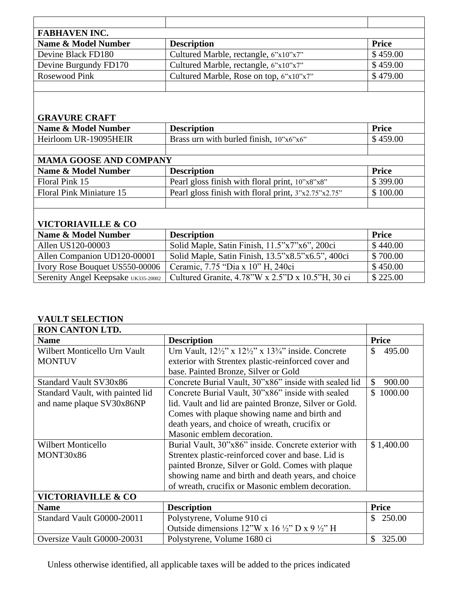| <b>FABHAVEN INC.</b>  |                                         |              |
|-----------------------|-----------------------------------------|--------------|
| Name & Model Number   | <b>Description</b>                      | <b>Price</b> |
| Devine Black FD180    | Cultured Marble, rectangle, 6"x10"x7"   | \$459.00     |
| Devine Burgundy FD170 | Cultured Marble, rectangle, 6"x10"x7"   | \$459.00     |
| Rosewood Pink         | Cultured Marble, Rose on top, 6"x10"x7" | \$479.00     |
|                       |                                         |              |

# **GRAVURE CRAFT**

| Name & Model Number   | <b>Description</b>                                             | <b>Price</b> |
|-----------------------|----------------------------------------------------------------|--------------|
| Heirloom UR-19095HEIR | Brass urn with burled finish, $10^{\circ}x6^{\circ}x6^{\circ}$ | \$459.00     |
|                       |                                                                |              |

| <b>MAMA GOOSE AND COMPANY</b> |                                                        |              |  |  |
|-------------------------------|--------------------------------------------------------|--------------|--|--|
| Name & Model Number           | <b>Description</b>                                     | <b>Price</b> |  |  |
| Floral Pink 15                | Pearl gloss finish with floral print, 10"x8"x8"        | \$399.00     |  |  |
| Floral Pink Miniature 15      | Pearl gloss finish with floral print, $3"x2.75"x2.75"$ | \$100.00     |  |  |
|                               |                                                        |              |  |  |

# **VICTORIAVILLE & CO**

| Name & Model Number                 | <b>Description</b>                                | <b>Price</b> |  |  |
|-------------------------------------|---------------------------------------------------|--------------|--|--|
| Allen US120-00003                   | Solid Maple, Satin Finish, 11.5"x7"x6", 200ci     | \$440.00     |  |  |
| Allen Companion UD120-00001         | Solid Maple, Satin Finish, 13.5"x8.5"x6.5", 400ci | \$700.00     |  |  |
| Ivory Rose Bouquet US550-00006      | Ceramic, 7.75 "Dia x 10" H, 240ci                 | \$450.00     |  |  |
| Serenity Angel Keepsake UK335-20002 | Cultured Granite, 4.78"W x 2.5"D x 10.5"H, 30 ci  | \$225.00     |  |  |

## **VAULT SELECTION**

| <b>RON CANTON LTD.</b>           |                                                                                       |                         |
|----------------------------------|---------------------------------------------------------------------------------------|-------------------------|
| <b>Name</b>                      | <b>Description</b>                                                                    | <b>Price</b>            |
| Wilbert Monticello Urn Vault     | Urn Vault, $12\frac{1}{2}$ " x $12\frac{1}{2}$ " x $13\frac{3}{4}$ " inside. Concrete | \$<br>495.00            |
| <b>MONTUV</b>                    | exterior with Strentex plastic-reinforced cover and                                   |                         |
|                                  | base. Painted Bronze, Silver or Gold                                                  |                         |
| Standard Vault SV30x86           | Concrete Burial Vault, 30"x86" inside with sealed lid                                 | $\mathcal{S}$<br>900.00 |
| Standard Vault, with painted lid | Concrete Burial Vault, 30"x86" inside with sealed                                     | \$1000.00               |
| and name plaque SV30x86NP        | lid. Vault and lid are painted Bronze, Silver or Gold.                                |                         |
|                                  | Comes with plaque showing name and birth and                                          |                         |
|                                  | death years, and choice of wreath, crucifix or                                        |                         |
|                                  | Masonic emblem decoration.                                                            |                         |
| Wilbert Monticello               | Burial Vault, 30"x86" inside. Concrete exterior with                                  | \$1,400.00              |
| MONT30x86                        | Strentex plastic-reinforced cover and base. Lid is                                    |                         |
|                                  | painted Bronze, Silver or Gold. Comes with plaque                                     |                         |
|                                  | showing name and birth and death years, and choice                                    |                         |
|                                  | of wreath, crucifix or Masonic emblem decoration.                                     |                         |
| <b>VICTORIAVILLE &amp; CO</b>    |                                                                                       |                         |
| <b>Name</b>                      | <b>Description</b>                                                                    | <b>Price</b>            |
| Standard Vault G0000-20011       | Polystyrene, Volume 910 ci                                                            | \$<br>250.00            |
|                                  | Outside dimensions 12"W x 16 $\frac{1}{2}$ "D x 9 $\frac{1}{2}$ "H                    |                         |
| Oversize Vault G0000-20031       | Polystyrene, Volume 1680 ci                                                           | \$<br>325.00            |

Unless otherwise identified, all applicable taxes will be added to the prices indicated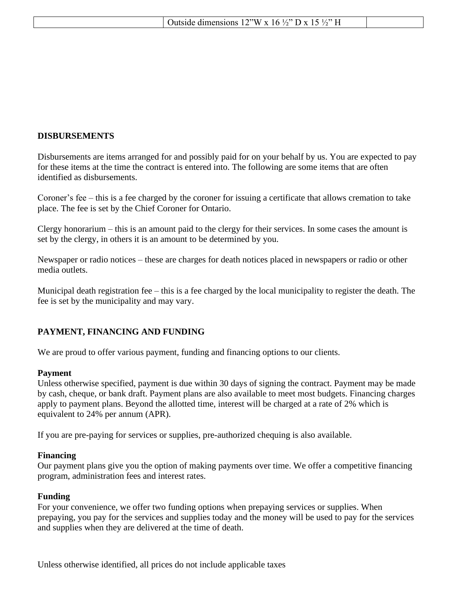|  |  | . $\mathcal{V}^{\prime\prime}$ W x<br>$\mathbf{v}$<br>dimensions.<br>$\frac{1}{2}$<br>$\sim$ |  |
|--|--|----------------------------------------------------------------------------------------------|--|
|--|--|----------------------------------------------------------------------------------------------|--|

### **DISBURSEMENTS**

Disbursements are items arranged for and possibly paid for on your behalf by us. You are expected to pay for these items at the time the contract is entered into. The following are some items that are often identified as disbursements.

Coroner's fee – this is a fee charged by the coroner for issuing a certificate that allows cremation to take place. The fee is set by the Chief Coroner for Ontario.

Clergy honorarium – this is an amount paid to the clergy for their services. In some cases the amount is set by the clergy, in others it is an amount to be determined by you.

Newspaper or radio notices – these are charges for death notices placed in newspapers or radio or other media outlets.

Municipal death registration fee – this is a fee charged by the local municipality to register the death. The fee is set by the municipality and may vary.

### **PAYMENT, FINANCING AND FUNDING**

We are proud to offer various payment, funding and financing options to our clients.

#### **Payment**

Unless otherwise specified, payment is due within 30 days of signing the contract. Payment may be made by cash, cheque, or bank draft. Payment plans are also available to meet most budgets. Financing charges apply to payment plans. Beyond the allotted time, interest will be charged at a rate of 2% which is equivalent to 24% per annum (APR).

If you are pre-paying for services or supplies, pre-authorized chequing is also available.

#### **Financing**

Our payment plans give you the option of making payments over time. We offer a competitive financing program, administration fees and interest rates.

### **Funding**

For your convenience, we offer two funding options when prepaying services or supplies. When prepaying, you pay for the services and supplies today and the money will be used to pay for the services and supplies when they are delivered at the time of death.